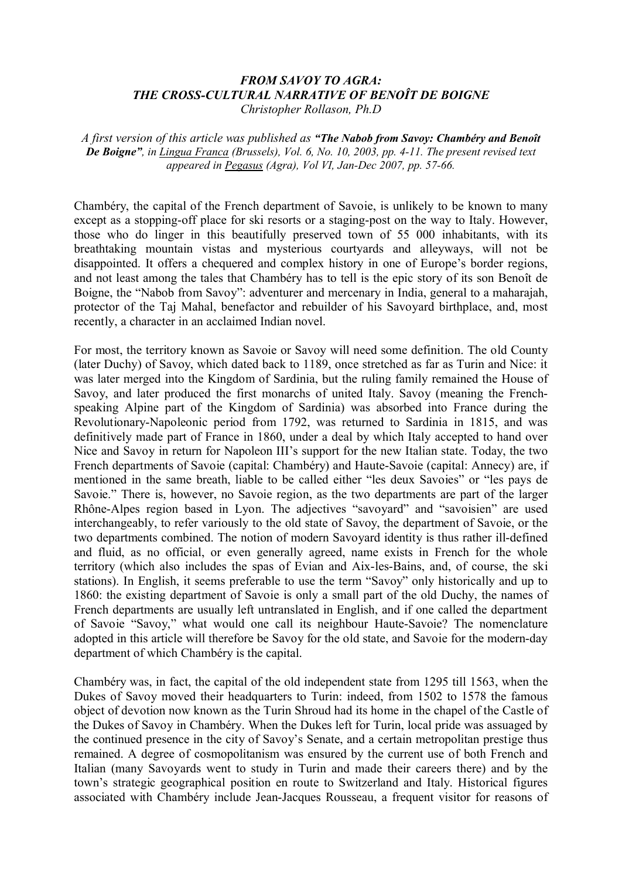## *FROM SAVOY TO AGRA: THE CROSS-CULTURAL NARRATIVE OF BENOÎT DE BOIGNE Christopher Rollason, Ph.D*

*A first version of this article was published as "The Nabob from Savoy: Chambéry and Benoît De Boigne", in Lingua Franca (Brussels), Vol. 6, No. 10, 2003, pp. 4-11. The present revised text appeared in Pegasus (Agra), Vol VI, Jan-Dec 2007, pp. 57-66.*

Chambéry, the capital of the French department of Savoie, is unlikely to be known to many except as a stopping-off place for ski resorts or a staging-post on the way to Italy. However, those who do linger in this beautifully preserved town of 55 000 inhabitants, with its breathtaking mountain vistas and mysterious courtyards and alleyways, will not be disappointed. It offers a chequered and complex history in one of Europe's border regions, and not least among the tales that Chambéry has to tell is the epic story of its son Benoît de Boigne, the "Nabob from Savoy": adventurer and mercenary in India, general to a maharajah, protector of the Taj Mahal, benefactor and rebuilder of his Savoyard birthplace, and, most recently, a character in an acclaimed Indian novel.

For most, the territory known as Savoie or Savoy will need some definition. The old County (later Duchy) of Savoy, which dated back to 1189, once stretched as far as Turin and Nice: it was later merged into the Kingdom of Sardinia, but the ruling family remained the House of Savoy, and later produced the first monarchs of united Italy. Savoy (meaning the Frenchspeaking Alpine part of the Kingdom of Sardinia) was absorbed into France during the Revolutionary-Napoleonic period from 1792, was returned to Sardinia in 1815, and was definitively made part of France in 1860, under a deal by which Italy accepted to hand over Nice and Savoy in return for Napoleon III's support for the new Italian state. Today, the two French departments of Savoie (capital: Chambéry) and Haute-Savoie (capital: Annecy) are, if mentioned in the same breath, liable to be called either "les deux Savoies" or "les pays de Savoie." There is, however, no Savoie region, as the two departments are part of the larger Rhône-Alpes region based in Lyon. The adjectives "savoyard" and "savoisien" are used interchangeably, to refer variously to the old state of Savoy, the department of Savoie, or the two departments combined. The notion of modern Savoyard identity is thus rather ill-defined and fluid, as no official, or even generally agreed, name exists in French for the whole territory (which also includes the spas of Evian and Aix-les-Bains, and, of course, the ski stations). In English, it seems preferable to use the term "Savoy" only historically and up to 1860: the existing department of Savoie is only a small part of the old Duchy, the names of French departments are usually left untranslated in English, and if one called the department of Savoie "Savoy," what would one call its neighbour Haute-Savoie? The nomenclature adopted in this article will therefore be Savoy for the old state, and Savoie for the modern-day department of which Chambéry is the capital.

Chambéry was, in fact, the capital of the old independent state from 1295 till 1563, when the Dukes of Savoy moved their headquarters to Turin: indeed, from 1502 to 1578 the famous object of devotion now known as the Turin Shroud had its home in the chapel of the Castle of the Dukes of Savoy in Chambéry. When the Dukes left for Turin, local pride was assuaged by the continued presence in the city of Savoy's Senate, and a certain metropolitan prestige thus remained. A degree of cosmopolitanism was ensured by the current use of both French and Italian (many Savoyards went to study in Turin and made their careers there) and by the town's strategic geographical position en route to Switzerland and Italy. Historical figures associated with Chambéry include Jean-Jacques Rousseau, a frequent visitor for reasons of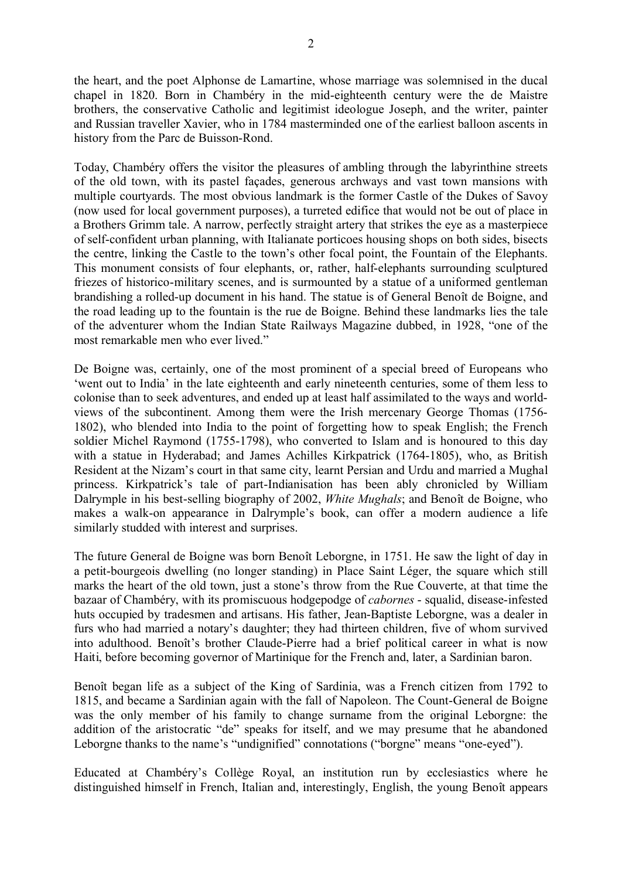the heart, and the poet Alphonse de Lamartine, whose marriage was solemnised in the ducal chapel in 1820. Born in Chambéry in the mid-eighteenth century were the de Maistre brothers, the conservative Catholic and legitimist ideologue Joseph, and the writer, painter and Russian traveller Xavier, who in 1784 masterminded one of the earliest balloon ascents in history from the Parc de Buisson-Rond.

Today, Chambéry offers the visitor the pleasures of ambling through the labyrinthine streets of the old town, with its pastel façades, generous archways and vast town mansions with multiple courtyards. The most obvious landmark is the former Castle of the Dukes of Savoy (now used for local government purposes), a turreted edifice that would not be out of place in a Brothers Grimm tale. A narrow, perfectly straight artery that strikes the eye as a masterpiece of self-confident urban planning, with Italianate porticoes housing shops on both sides, bisects the centre, linking the Castle to the town's other focal point, the Fountain of the Elephants. This monument consists of four elephants, or, rather, half-elephants surrounding sculptured friezes of historico-military scenes, and is surmounted by a statue of a uniformed gentleman brandishing a rolled-up document in his hand. The statue is of General Benoît de Boigne, and the road leading up to the fountain is the rue de Boigne. Behind these landmarks lies the tale of the adventurer whom the Indian State Railways Magazine dubbed, in 1928, "one of the most remarkable men who ever lived."

De Boigne was, certainly, one of the most prominent of a special breed of Europeans who 'went out to India' in the late eighteenth and early nineteenth centuries, some of them less to colonise than to seek adventures, and ended up at least half assimilated to the ways and worldviews of the subcontinent. Among them were the Irish mercenary George Thomas (1756- 1802), who blended into India to the point of forgetting how to speak English; the French soldier Michel Raymond (1755-1798), who converted to Islam and is honoured to this day with a statue in Hyderabad; and James Achilles Kirkpatrick (1764-1805), who, as British Resident at the Nizam's court in that same city, learnt Persian and Urdu and married a Mughal princess. Kirkpatrick's tale of part-Indianisation has been ably chronicled by William Dalrymple in his best-selling biography of 2002, *White Mughals*; and Benoît de Boigne, who makes a walk-on appearance in Dalrymple's book, can offer a modern audience a life similarly studded with interest and surprises.

The future General de Boigne was born Benoît Leborgne, in 1751. He saw the light of day in a petit-bourgeois dwelling (no longer standing) in Place Saint Léger, the square which still marks the heart of the old town, just a stone's throw from the Rue Couverte, at that time the bazaar of Chambéry, with its promiscuous hodgepodge of *cabornes* - squalid, disease-infested huts occupied by tradesmen and artisans. His father, Jean-Baptiste Leborgne, was a dealer in furs who had married a notary's daughter; they had thirteen children, five of whom survived into adulthood. Benoît's brother Claude-Pierre had a brief political career in what is now Haiti, before becoming governor of Martinique for the French and, later, a Sardinian baron.

Benoît began life as a subject of the King of Sardinia, was a French citizen from 1792 to 1815, and became a Sardinian again with the fall of Napoleon. The Count-General de Boigne was the only member of his family to change surname from the original Leborgne: the addition of the aristocratic "de" speaks for itself, and we may presume that he abandoned Leborgne thanks to the name's "undignified" connotations ("borgne" means "one-eyed").

Educated at Chambéry's Collège Royal, an institution run by ecclesiastics where he distinguished himself in French, Italian and, interestingly, English, the young Benoît appears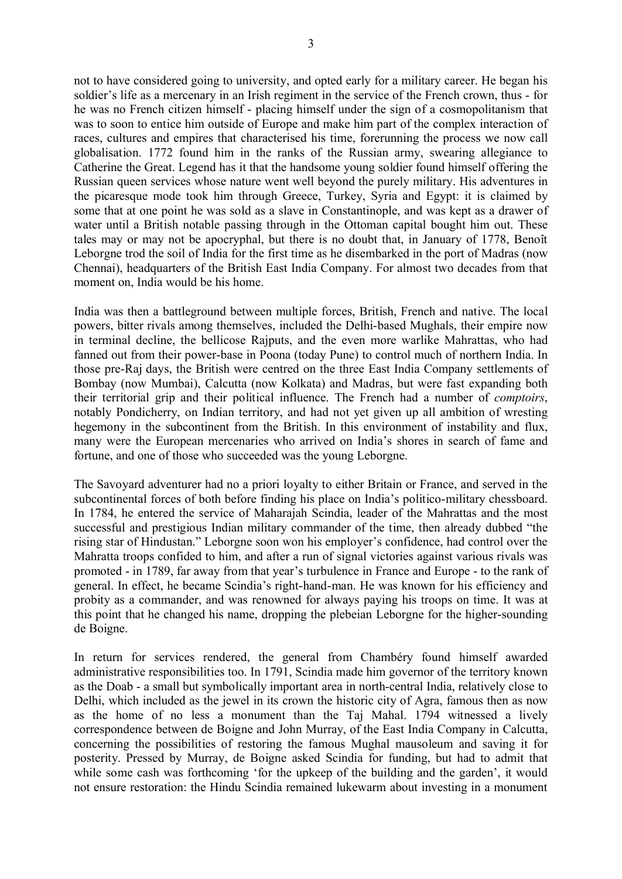not to have considered going to university, and opted early for a military career. He began his soldier's life as a mercenary in an Irish regiment in the service of the French crown, thus - for he was no French citizen himself - placing himself under the sign of a cosmopolitanism that was to soon to entice him outside of Europe and make him part of the complex interaction of races, cultures and empires that characterised his time, forerunning the process we now call globalisation. 1772 found him in the ranks of the Russian army, swearing allegiance to Catherine the Great. Legend has it that the handsome young soldier found himself offering the Russian queen services whose nature went well beyond the purely military. His adventures in the picaresque mode took him through Greece, Turkey, Syria and Egypt: it is claimed by some that at one point he was sold as a slave in Constantinople, and was kept as a drawer of water until a British notable passing through in the Ottoman capital bought him out. These tales may or may not be apocryphal, but there is no doubt that, in January of 1778, Benoît Leborgne trod the soil of India for the first time as he disembarked in the port of Madras (now Chennai), headquarters of the British East India Company. For almost two decades from that moment on, India would be his home.

India was then a battleground between multiple forces, British, French and native. The local powers, bitter rivals among themselves, included the Delhi-based Mughals, their empire now in terminal decline, the bellicose Rajputs, and the even more warlike Mahrattas, who had fanned out from their power-base in Poona (today Pune) to control much of northern India. In those pre-Raj days, the British were centred on the three East India Company settlements of Bombay (now Mumbai), Calcutta (now Kolkata) and Madras, but were fast expanding both their territorial grip and their political influence. The French had a number of *comptoirs*, notably Pondicherry, on Indian territory, and had not yet given up all ambition of wresting hegemony in the subcontinent from the British. In this environment of instability and flux, many were the European mercenaries who arrived on India's shores in search of fame and fortune, and one of those who succeeded was the young Leborgne.

The Savoyard adventurer had no a priori loyalty to either Britain or France, and served in the subcontinental forces of both before finding his place on India's politico-military chessboard. In 1784, he entered the service of Maharajah Scindia, leader of the Mahrattas and the most successful and prestigious Indian military commander of the time, then already dubbed "the rising star of Hindustan." Leborgne soon won his employer's confidence, had control over the Mahratta troops confided to him, and after a run of signal victories against various rivals was promoted - in 1789, far away from that year's turbulence in France and Europe - to the rank of general. In effect, he became Scindia's right-hand-man. He was known for his efficiency and probity as a commander, and was renowned for always paying his troops on time. It was at this point that he changed his name, dropping the plebeian Leborgne for the higher-sounding de Boigne.

In return for services rendered, the general from Chambéry found himself awarded administrative responsibilities too. In 1791, Scindia made him governor of the territory known as the Doab - a small but symbolically important area in north-central India, relatively close to Delhi, which included as the jewel in its crown the historic city of Agra, famous then as now as the home of no less a monument than the Taj Mahal. 1794 witnessed a lively correspondence between de Boigne and John Murray, of the East India Company in Calcutta, concerning the possibilities of restoring the famous Mughal mausoleum and saving it for posterity. Pressed by Murray, de Boigne asked Scindia for funding, but had to admit that while some cash was forthcoming 'for the upkeep of the building and the garden', it would not ensure restoration: the Hindu Scindia remained lukewarm about investing in a monument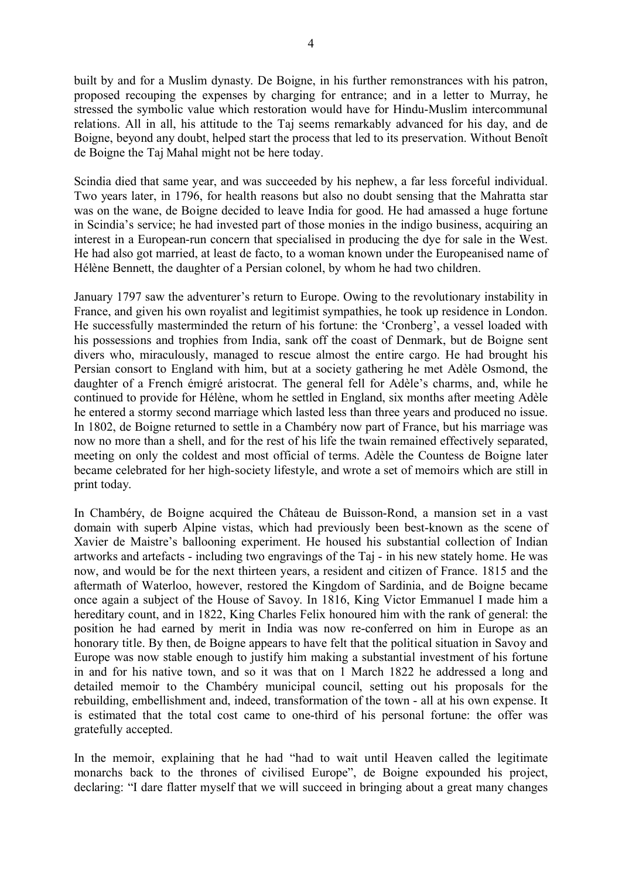built by and for a Muslim dynasty. De Boigne, in his further remonstrances with his patron, proposed recouping the expenses by charging for entrance; and in a letter to Murray, he stressed the symbolic value which restoration would have for Hindu-Muslim intercommunal relations. All in all, his attitude to the Taj seems remarkably advanced for his day, and de Boigne, beyond any doubt, helped start the process that led to its preservation. Without Benoît de Boigne the Taj Mahal might not be here today.

Scindia died that same year, and was succeeded by his nephew, a far less forceful individual. Two years later, in 1796, for health reasons but also no doubt sensing that the Mahratta star was on the wane, de Boigne decided to leave India for good. He had amassed a huge fortune in Scindia's service; he had invested part of those monies in the indigo business, acquiring an interest in a European-run concern that specialised in producing the dye for sale in the West. He had also got married, at least de facto, to a woman known under the Europeanised name of Hélène Bennett, the daughter of a Persian colonel, by whom he had two children.

January 1797 saw the adventurer's return to Europe. Owing to the revolutionary instability in France, and given his own royalist and legitimist sympathies, he took up residence in London. He successfully masterminded the return of his fortune: the 'Cronberg', a vessel loaded with his possessions and trophies from India, sank off the coast of Denmark, but de Boigne sent divers who, miraculously, managed to rescue almost the entire cargo. He had brought his Persian consort to England with him, but at a society gathering he met Adèle Osmond, the daughter of a French émigré aristocrat. The general fell for Adèle's charms, and, while he continued to provide for Hélène, whom he settled in England, six months after meeting Adèle he entered a stormy second marriage which lasted less than three years and produced no issue. In 1802, de Boigne returned to settle in a Chambéry now part of France, but his marriage was now no more than a shell, and for the rest of his life the twain remained effectively separated, meeting on only the coldest and most official of terms. Adèle the Countess de Boigne later became celebrated for her high-society lifestyle, and wrote a set of memoirs which are still in print today.

In Chambéry, de Boigne acquired the Château de Buisson-Rond, a mansion set in a vast domain with superb Alpine vistas, which had previously been best-known as the scene of Xavier de Maistre's ballooning experiment. He housed his substantial collection of Indian artworks and artefacts - including two engravings of the Taj - in his new stately home. He was now, and would be for the next thirteen years, a resident and citizen of France. 1815 and the aftermath of Waterloo, however, restored the Kingdom of Sardinia, and de Boigne became once again a subject of the House of Savoy. In 1816, King Victor Emmanuel I made him a hereditary count, and in 1822, King Charles Felix honoured him with the rank of general: the position he had earned by merit in India was now re-conferred on him in Europe as an honorary title. By then, de Boigne appears to have felt that the political situation in Savoy and Europe was now stable enough to justify him making a substantial investment of his fortune in and for his native town, and so it was that on 1 March 1822 he addressed a long and detailed memoir to the Chambéry municipal council, setting out his proposals for the rebuilding, embellishment and, indeed, transformation of the town - all at his own expense. It is estimated that the total cost came to one-third of his personal fortune: the offer was gratefully accepted.

In the memoir, explaining that he had "had to wait until Heaven called the legitimate monarchs back to the thrones of civilised Europe", de Boigne expounded his project, declaring: "I dare flatter myself that we will succeed in bringing about a great many changes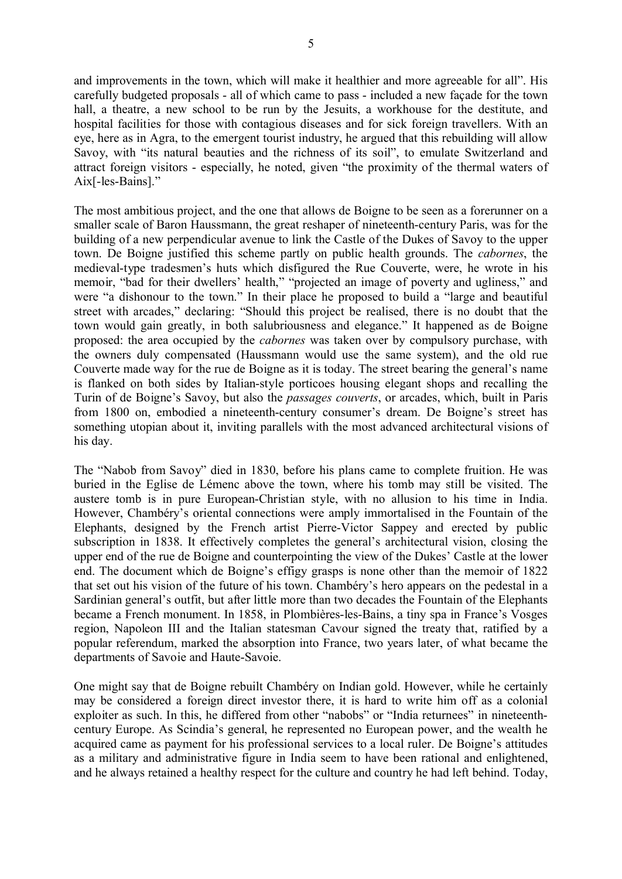and improvements in the town, which will make it healthier and more agreeable for all". His carefully budgeted proposals - all of which came to pass - included a new façade for the town hall, a theatre, a new school to be run by the Jesuits, a workhouse for the destitute, and hospital facilities for those with contagious diseases and for sick foreign travellers. With an eye, here as in Agra, to the emergent tourist industry, he argued that this rebuilding will allow Savoy, with "its natural beauties and the richness of its soil", to emulate Switzerland and attract foreign visitors - especially, he noted, given "the proximity of the thermal waters of Aix[-les-Bains]."

The most ambitious project, and the one that allows de Boigne to be seen as a forerunner on a smaller scale of Baron Haussmann, the great reshaper of nineteenth-century Paris, was for the building of a new perpendicular avenue to link the Castle of the Dukes of Savoy to the upper town. De Boigne justified this scheme partly on public health grounds. The *cabornes*, the medieval-type tradesmen's huts which disfigured the Rue Couverte, were, he wrote in his memoir, "bad for their dwellers' health," "projected an image of poverty and ugliness," and were "a dishonour to the town." In their place he proposed to build a "large and beautiful street with arcades," declaring: "Should this project be realised, there is no doubt that the town would gain greatly, in both salubriousness and elegance." It happened as de Boigne proposed: the area occupied by the *cabornes* was taken over by compulsory purchase, with the owners duly compensated (Haussmann would use the same system), and the old rue Couverte made way for the rue de Boigne as it is today. The street bearing the general's name is flanked on both sides by Italian-style porticoes housing elegant shops and recalling the Turin of de Boigne's Savoy, but also the *passages couverts*, or arcades, which, built in Paris from 1800 on, embodied a nineteenth-century consumer's dream. De Boigne's street has something utopian about it, inviting parallels with the most advanced architectural visions of his day.

The "Nabob from Savoy" died in 1830, before his plans came to complete fruition. He was buried in the Eglise de Lémenc above the town, where his tomb may still be visited. The austere tomb is in pure European-Christian style, with no allusion to his time in India. However, Chambéry's oriental connections were amply immortalised in the Fountain of the Elephants, designed by the French artist Pierre-Victor Sappey and erected by public subscription in 1838. It effectively completes the general's architectural vision, closing the upper end of the rue de Boigne and counterpointing the view of the Dukes' Castle at the lower end. The document which de Boigne's effigy grasps is none other than the memoir of 1822 that set out his vision of the future of his town. Chambéry's hero appears on the pedestal in a Sardinian general's outfit, but after little more than two decades the Fountain of the Elephants became a French monument. In 1858, in Plombières-les-Bains, a tiny spa in France's Vosges region, Napoleon III and the Italian statesman Cavour signed the treaty that, ratified by a popular referendum, marked the absorption into France, two years later, of what became the departments of Savoie and Haute-Savoie.

One might say that de Boigne rebuilt Chambéry on Indian gold. However, while he certainly may be considered a foreign direct investor there, it is hard to write him off as a colonial exploiter as such. In this, he differed from other "nabobs" or "India returnees" in nineteenthcentury Europe. As Scindia's general, he represented no European power, and the wealth he acquired came as payment for his professional services to a local ruler. De Boigne's attitudes as a military and administrative figure in India seem to have been rational and enlightened, and he always retained a healthy respect for the culture and country he had left behind. Today,